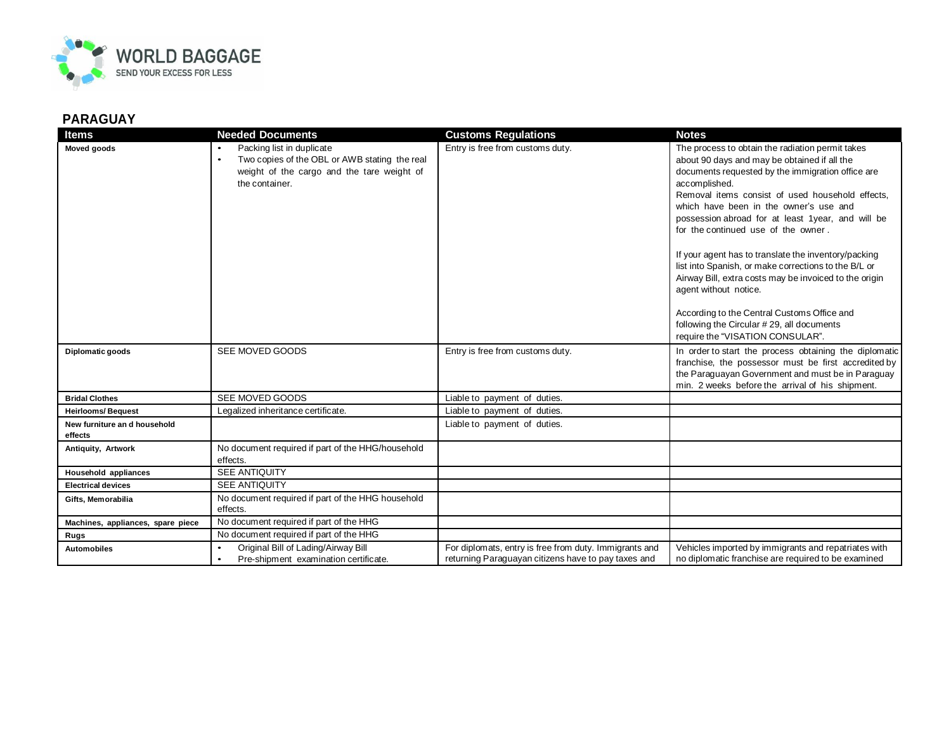

## **PARAGUAY**

| <b>Items</b>                            | <b>Needed Documents</b>                                                                                                                                 | <b>Customs Regulations</b>                                                                                    | <b>Notes</b>                                                                                                                                                                                                                                                                                                                                                                                                                                                                                                                                                                                                                                                                                        |
|-----------------------------------------|---------------------------------------------------------------------------------------------------------------------------------------------------------|---------------------------------------------------------------------------------------------------------------|-----------------------------------------------------------------------------------------------------------------------------------------------------------------------------------------------------------------------------------------------------------------------------------------------------------------------------------------------------------------------------------------------------------------------------------------------------------------------------------------------------------------------------------------------------------------------------------------------------------------------------------------------------------------------------------------------------|
| Moved goods                             | Packing list in duplicate<br>Two copies of the OBL or AWB stating the real<br>$\bullet$<br>weight of the cargo and the tare weight of<br>the container. | Entry is free from customs duty.                                                                              | The process to obtain the radiation permit takes<br>about 90 days and may be obtained if all the<br>documents requested by the immigration office are<br>accomplished.<br>Removal items consist of used household effects,<br>which have been in the owner's use and<br>possession abroad for at least 1year, and will be<br>for the continued use of the owner.<br>If your agent has to translate the inventory/packing<br>list into Spanish, or make corrections to the B/L or<br>Airway Bill, extra costs may be invoiced to the origin<br>agent without notice.<br>According to the Central Customs Office and<br>following the Circular #29, all documents<br>require the "VISATION CONSULAR". |
| Diplomatic goods                        | SEE MOVED GOODS                                                                                                                                         | Entry is free from customs duty.                                                                              | In order to start the process obtaining the diplomatic<br>franchise, the possessor must be first accredited by<br>the Paraguayan Government and must be in Paraguay<br>min. 2 weeks before the arrival of his shipment.                                                                                                                                                                                                                                                                                                                                                                                                                                                                             |
| <b>Bridal Clothes</b>                   | SEE MOVED GOODS                                                                                                                                         | Liable to payment of duties.                                                                                  |                                                                                                                                                                                                                                                                                                                                                                                                                                                                                                                                                                                                                                                                                                     |
| <b>Heirlooms/Bequest</b>                | Legalized inheritance certificate.                                                                                                                      | Liable to payment of duties.                                                                                  |                                                                                                                                                                                                                                                                                                                                                                                                                                                                                                                                                                                                                                                                                                     |
| New furniture an d household<br>effects |                                                                                                                                                         | Liable to payment of duties.                                                                                  |                                                                                                                                                                                                                                                                                                                                                                                                                                                                                                                                                                                                                                                                                                     |
| Antiquity, Artwork                      | No document required if part of the HHG/household<br>effects.                                                                                           |                                                                                                               |                                                                                                                                                                                                                                                                                                                                                                                                                                                                                                                                                                                                                                                                                                     |
| Household appliances                    | <b>SEE ANTIQUITY</b>                                                                                                                                    |                                                                                                               |                                                                                                                                                                                                                                                                                                                                                                                                                                                                                                                                                                                                                                                                                                     |
| <b>Electrical devices</b>               | <b>SEE ANTIQUITY</b>                                                                                                                                    |                                                                                                               |                                                                                                                                                                                                                                                                                                                                                                                                                                                                                                                                                                                                                                                                                                     |
| Gifts. Memorabilia                      | No document required if part of the HHG household<br>effects.                                                                                           |                                                                                                               |                                                                                                                                                                                                                                                                                                                                                                                                                                                                                                                                                                                                                                                                                                     |
| Machines, appliances, spare piece       | No document required if part of the HHG                                                                                                                 |                                                                                                               |                                                                                                                                                                                                                                                                                                                                                                                                                                                                                                                                                                                                                                                                                                     |
| Rugs                                    | No document required if part of the HHG                                                                                                                 |                                                                                                               |                                                                                                                                                                                                                                                                                                                                                                                                                                                                                                                                                                                                                                                                                                     |
| <b>Automobiles</b>                      | Original Bill of Lading/Airway Bill<br>Pre-shipment examination certificate.<br>$\bullet$                                                               | For diplomats, entry is free from duty. Immigrants and<br>returning Paraguayan citizens have to pay taxes and | Vehicles imported by immigrants and repatriates with<br>no diplomatic franchise are required to be examined                                                                                                                                                                                                                                                                                                                                                                                                                                                                                                                                                                                         |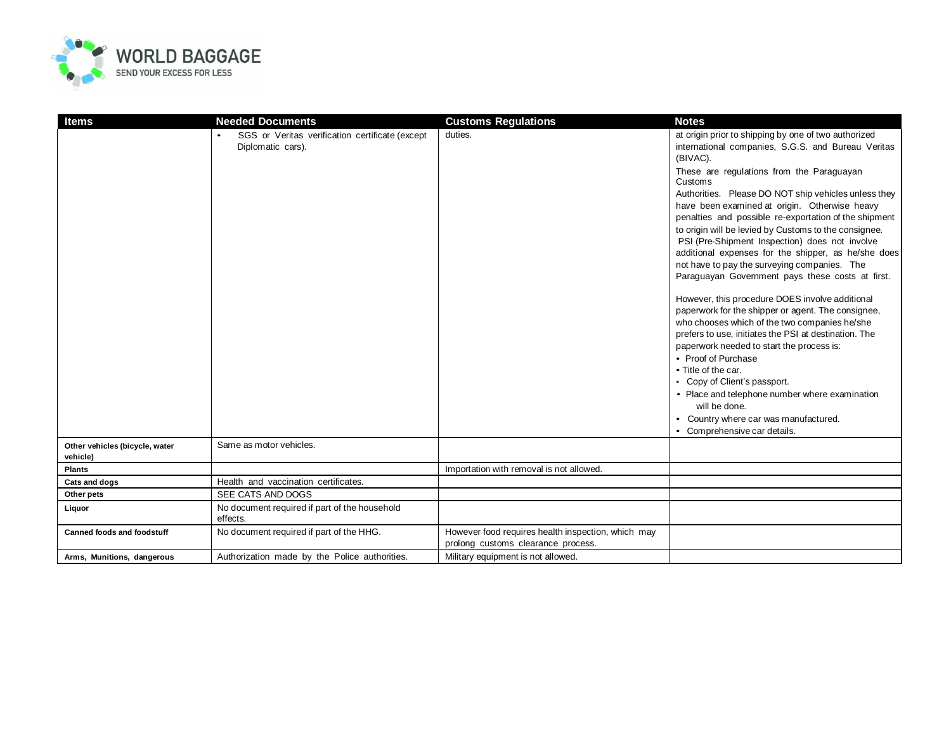

| Items                                      | <b>Needed Documents</b>                                              | <b>Customs Regulations</b>                                                               | <b>Notes</b>                                                                                                                                                                                                                                                                                                                                                                                                                                                                           |
|--------------------------------------------|----------------------------------------------------------------------|------------------------------------------------------------------------------------------|----------------------------------------------------------------------------------------------------------------------------------------------------------------------------------------------------------------------------------------------------------------------------------------------------------------------------------------------------------------------------------------------------------------------------------------------------------------------------------------|
|                                            | SGS or Veritas verification certificate (except<br>Diplomatic cars). | duties.                                                                                  | at origin prior to shipping by one of two authorized<br>international companies, S.G.S. and Bureau Veritas<br>(BIVAC).                                                                                                                                                                                                                                                                                                                                                                 |
|                                            |                                                                      |                                                                                          | These are regulations from the Paraguayan<br>Customs<br>Authorities. Please DO NOT ship vehicles unless they<br>have been examined at origin. Otherwise heavy<br>penalties and possible re-exportation of the shipment<br>to origin will be levied by Customs to the consignee.<br>PSI (Pre-Shipment Inspection) does not involve                                                                                                                                                      |
|                                            |                                                                      |                                                                                          | additional expenses for the shipper, as he/she does<br>not have to pay the surveying companies. The<br>Paraguayan Government pays these costs at first.                                                                                                                                                                                                                                                                                                                                |
|                                            |                                                                      |                                                                                          | However, this procedure DOES involve additional<br>paperwork for the shipper or agent. The consignee,<br>who chooses which of the two companies he/she<br>prefers to use, initiates the PSI at destination. The<br>paperwork needed to start the process is:<br>• Proof of Purchase<br>• Title of the car.<br>• Copy of Client's passport.<br>• Place and telephone number where examination<br>will be done.<br>• Country where car was manufactured.<br>• Comprehensive car details. |
| Other vehicles (bicycle, water<br>vehicle) | Same as motor vehicles.                                              |                                                                                          |                                                                                                                                                                                                                                                                                                                                                                                                                                                                                        |
| <b>Plants</b>                              |                                                                      | Importation with removal is not allowed.                                                 |                                                                                                                                                                                                                                                                                                                                                                                                                                                                                        |
| Cats and dogs                              | Health and vaccination certificates.                                 |                                                                                          |                                                                                                                                                                                                                                                                                                                                                                                                                                                                                        |
| Other pets                                 | SEE CATS AND DOGS                                                    |                                                                                          |                                                                                                                                                                                                                                                                                                                                                                                                                                                                                        |
| Liquor                                     | No document required if part of the household<br>effects.            |                                                                                          |                                                                                                                                                                                                                                                                                                                                                                                                                                                                                        |
| <b>Canned foods and foodstuff</b>          | No document required if part of the HHG.                             | However food requires health inspection, which may<br>prolong customs clearance process. |                                                                                                                                                                                                                                                                                                                                                                                                                                                                                        |
| Arms, Munitions, dangerous                 | Authorization made by the Police authorities.                        | Military equipment is not allowed.                                                       |                                                                                                                                                                                                                                                                                                                                                                                                                                                                                        |